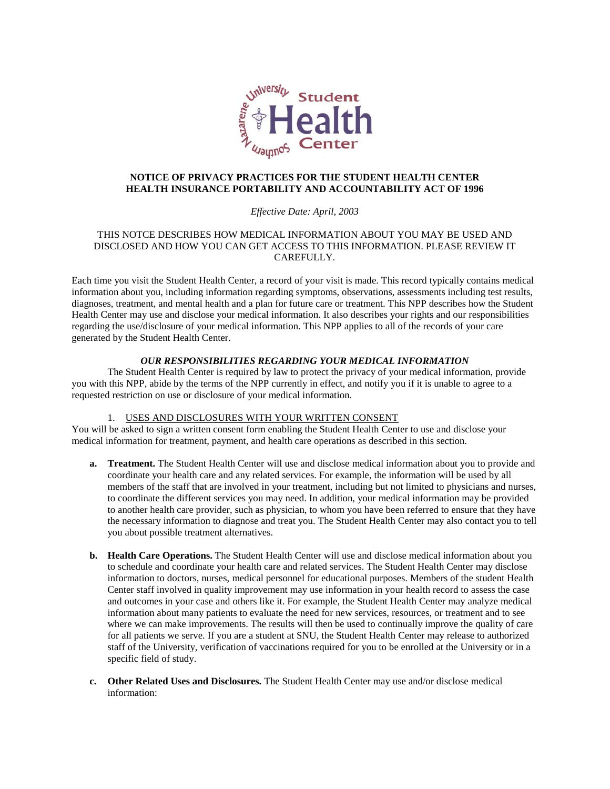

# **NOTICE OF PRIVACY PRACTICES FOR THE STUDENT HEALTH CENTER HEALTH INSURANCE PORTABILITY AND ACCOUNTABILITY ACT OF 1996**

### *Effective Date: April, 2003*

## THIS NOTCE DESCRIBES HOW MEDICAL INFORMATION ABOUT YOU MAY BE USED AND DISCLOSED AND HOW YOU CAN GET ACCESS TO THIS INFORMATION. PLEASE REVIEW IT CAREFULLY.

Each time you visit the Student Health Center, a record of your visit is made. This record typically contains medical information about you, including information regarding symptoms, observations, assessments including test results, diagnoses, treatment, and mental health and a plan for future care or treatment. This NPP describes how the Student Health Center may use and disclose your medical information. It also describes your rights and our responsibilities regarding the use/disclosure of your medical information. This NPP applies to all of the records of your care generated by the Student Health Center.

### *OUR RESPONSIBILITIES REGARDING YOUR MEDICAL INFORMATION*

The Student Health Center is required by law to protect the privacy of your medical information, provide you with this NPP, abide by the terms of the NPP currently in effect, and notify you if it is unable to agree to a requested restriction on use or disclosure of your medical information.

#### 1. USES AND DISCLOSURES WITH YOUR WRITTEN CONSENT

You will be asked to sign a written consent form enabling the Student Health Center to use and disclose your medical information for treatment, payment, and health care operations as described in this section.

- **a. Treatment.** The Student Health Center will use and disclose medical information about you to provide and coordinate your health care and any related services. For example, the information will be used by all members of the staff that are involved in your treatment, including but not limited to physicians and nurses, to coordinate the different services you may need. In addition, your medical information may be provided to another health care provider, such as physician, to whom you have been referred to ensure that they have the necessary information to diagnose and treat you. The Student Health Center may also contact you to tell you about possible treatment alternatives.
- **b. Health Care Operations.** The Student Health Center will use and disclose medical information about you to schedule and coordinate your health care and related services. The Student Health Center may disclose information to doctors, nurses, medical personnel for educational purposes. Members of the student Health Center staff involved in quality improvement may use information in your health record to assess the case and outcomes in your case and others like it. For example, the Student Health Center may analyze medical information about many patients to evaluate the need for new services, resources, or treatment and to see where we can make improvements. The results will then be used to continually improve the quality of care for all patients we serve. If you are a student at SNU, the Student Health Center may release to authorized staff of the University, verification of vaccinations required for you to be enrolled at the University or in a specific field of study.
- **c. Other Related Uses and Disclosures.** The Student Health Center may use and/or disclose medical information: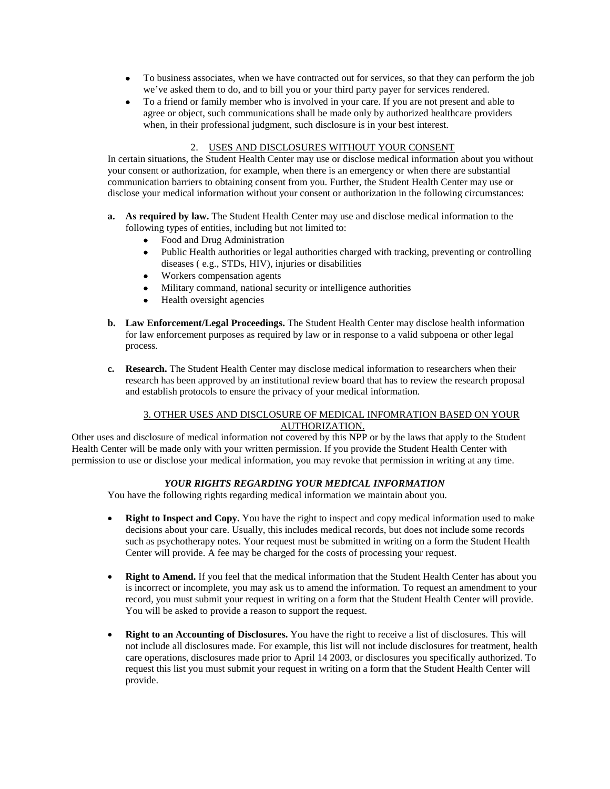- To business associates, when we have contracted out for services, so that they can perform the job we've asked them to do, and to bill you or your third party payer for services rendered.
- To a friend or family member who is involved in your care. If you are not present and able to agree or object, such communications shall be made only by authorized healthcare providers when, in their professional judgment, such disclosure is in your best interest.

## 2. USES AND DISCLOSURES WITHOUT YOUR CONSENT

In certain situations, the Student Health Center may use or disclose medical information about you without your consent or authorization, for example, when there is an emergency or when there are substantial communication barriers to obtaining consent from you. Further, the Student Health Center may use or disclose your medical information without your consent or authorization in the following circumstances:

- **a. As required by law.** The Student Health Center may use and disclose medical information to the following types of entities, including but not limited to:
	- Food and Drug Administration
	- Public Health authorities or legal authorities charged with tracking, preventing or controlling diseases ( e.g., STDs, HIV), injuries or disabilities
	- Workers compensation agents
	- Military command, national security or intelligence authorities
	- Health oversight agencies
- **b. Law Enforcement/Legal Proceedings.** The Student Health Center may disclose health information for law enforcement purposes as required by law or in response to a valid subpoena or other legal process.
- **c. Research.** The Student Health Center may disclose medical information to researchers when their research has been approved by an institutional review board that has to review the research proposal and establish protocols to ensure the privacy of your medical information.

## 3. OTHER USES AND DISCLOSURE OF MEDICAL INFOMRATION BASED ON YOUR AUTHORIZATION.

Other uses and disclosure of medical information not covered by this NPP or by the laws that apply to the Student Health Center will be made only with your written permission. If you provide the Student Health Center with permission to use or disclose your medical information, you may revoke that permission in writing at any time.

## *YOUR RIGHTS REGARDING YOUR MEDICAL INFORMATION*

You have the following rights regarding medical information we maintain about you.

- **Right to Inspect and Copy.** You have the right to inspect and copy medical information used to make decisions about your care. Usually, this includes medical records, but does not include some records such as psychotherapy notes. Your request must be submitted in writing on a form the Student Health Center will provide. A fee may be charged for the costs of processing your request.
- **Right to Amend.** If you feel that the medical information that the Student Health Center has about you is incorrect or incomplete, you may ask us to amend the information. To request an amendment to your record, you must submit your request in writing on a form that the Student Health Center will provide. You will be asked to provide a reason to support the request.
- **Right to an Accounting of Disclosures.** You have the right to receive a list of disclosures. This will not include all disclosures made. For example, this list will not include disclosures for treatment, health care operations, disclosures made prior to April 14 2003, or disclosures you specifically authorized. To request this list you must submit your request in writing on a form that the Student Health Center will provide.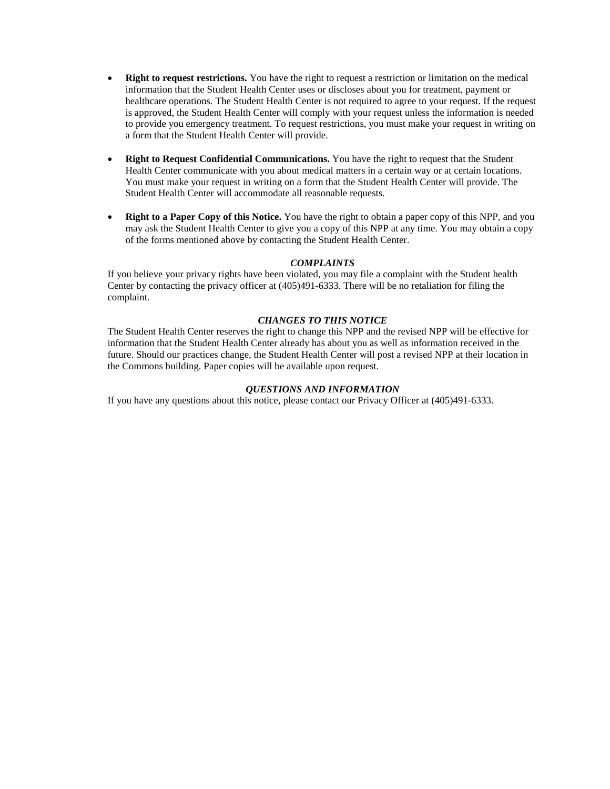- **Right to request restrictions.** You have the right to request a restriction or limitation on the medical information that the Student Health Center uses or discloses about you for treatment, payment or healthcare operations. The Student Health Center is not required to agree to your request. If the request is approved, the Student Health Center will comply with your request unless the information is needed to provide you emergency treatment. To request restrictions, you must make your request in writing on a form that the Student Health Center will provide.
- **Right to Request Confidential Communications.** You have the right to request that the Student Health Center communicate with you about medical matters in a certain way or at certain locations. You must make your request in writing on a form that the Student Health Center will provide. The Student Health Center will accommodate all reasonable requests.
- **Right to a Paper Copy of this Notice.** You have the right to obtain a paper copy of this NPP, and you may ask the Student Health Center to give you a copy of this NPP at any time. You may obtain a copy of the forms mentioned above by contacting the Student Health Center.

### *COMPLAINTS*

If you believe your privacy rights have been violated, you may file a complaint with the Student health Center by contacting the privacy officer at (405)491-6333. There will be no retaliation for filing the complaint.

### *CHANGES TO THIS NOTICE*

The Student Health Center reserves the right to change this NPP and the revised NPP will be effective for information that the Student Health Center already has about you as well as information received in the future. Should our practices change, the Student Health Center will post a revised NPP at their location in the Commons building. Paper copies will be available upon request.

#### *QUESTIONS AND INFORMATION*

If you have any questions about this notice, please contact our Privacy Officer at (405)491-6333.